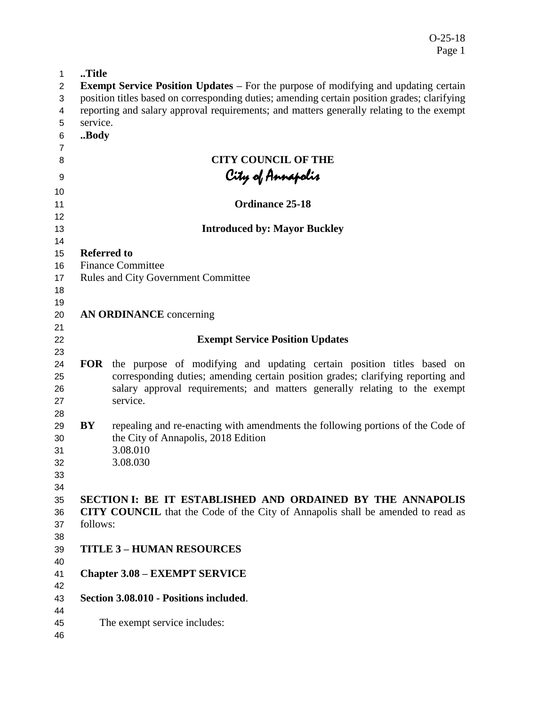| 1                       | Title              |                                                                                             |
|-------------------------|--------------------|---------------------------------------------------------------------------------------------|
| $\overline{2}$          |                    | <b>Exempt Service Position Updates –</b> For the purpose of modifying and updating certain  |
| 3                       |                    | position titles based on corresponding duties; amending certain position grades; clarifying |
| $\overline{\mathbf{4}}$ |                    | reporting and salary approval requirements; and matters generally relating to the exempt    |
| 5                       | service.           |                                                                                             |
| 6                       | Body               |                                                                                             |
| $\overline{7}$          |                    |                                                                                             |
| 8                       |                    | <b>CITY COUNCIL OF THE</b>                                                                  |
| 9                       |                    |                                                                                             |
|                         |                    | City of Annapolis                                                                           |
| 10                      |                    | <b>Ordinance 25-18</b>                                                                      |
| 11<br>12                |                    |                                                                                             |
| 13                      |                    | <b>Introduced by: Mayor Buckley</b>                                                         |
| 14                      |                    |                                                                                             |
| 15                      | <b>Referred to</b> |                                                                                             |
| 16                      |                    | <b>Finance Committee</b>                                                                    |
| 17                      |                    | <b>Rules and City Government Committee</b>                                                  |
| 18                      |                    |                                                                                             |
| 19                      |                    |                                                                                             |
| 20                      |                    | <b>AN ORDINANCE</b> concerning                                                              |
| 21                      |                    |                                                                                             |
| 22                      |                    | <b>Exempt Service Position Updates</b>                                                      |
| 23                      |                    |                                                                                             |
| 24                      | <b>FOR</b>         | the purpose of modifying and updating certain position titles based on                      |
| 25                      |                    | corresponding duties; amending certain position grades; clarifying reporting and            |
| 26                      |                    | salary approval requirements; and matters generally relating to the exempt                  |
| 27                      |                    | service.                                                                                    |
| 28                      |                    |                                                                                             |
| 29                      | BY                 | repealing and re-enacting with amendments the following portions of the Code of             |
| 30                      |                    | the City of Annapolis, 2018 Edition                                                         |
| 31                      |                    | 3.08.010                                                                                    |
| 32                      |                    | 3.08.030                                                                                    |
| 33                      |                    |                                                                                             |
| 34                      |                    |                                                                                             |
| 35                      |                    | SECTION I: BE IT ESTABLISHED AND ORDAINED BY THE ANNAPOLIS                                  |
| 36                      |                    | <b>CITY COUNCIL</b> that the Code of the City of Annapolis shall be amended to read as      |
| 37                      | follows:           |                                                                                             |
| 38                      |                    |                                                                                             |
| 39                      |                    | <b>TITLE 3 - HUMAN RESOURCES</b>                                                            |
| 40                      |                    |                                                                                             |
| 41                      |                    | <b>Chapter 3.08 – EXEMPT SERVICE</b>                                                        |
| 42                      |                    |                                                                                             |
| 43                      |                    | Section 3.08.010 - Positions included.                                                      |
| 44                      |                    |                                                                                             |
| 45                      |                    | The exempt service includes:                                                                |
| 46                      |                    |                                                                                             |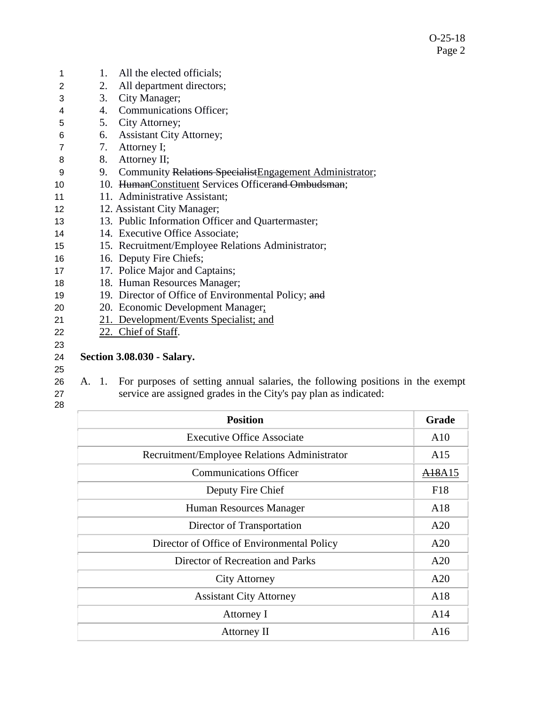| 1               | 1. | All the elected officials;                               |
|-----------------|----|----------------------------------------------------------|
| 2               | 2. | All department directors;                                |
| 3               | 3. | City Manager;                                            |
| 4               | 4. | Communications Officer;                                  |
| 5               | 5. | City Attorney;                                           |
| 6               | 6. | <b>Assistant City Attorney;</b>                          |
| 7               | 7. | Attorney I;                                              |
| 8               | 8. | Attorney II;                                             |
| 9               | 9. | Community Relations Specialist Engagement Administrator; |
| 10              |    | 10. HumanConstituent Services Officerand Ombudsman;      |
| 11              |    | 11. Administrative Assistant;                            |
| 12 <sup>2</sup> |    | 12. Assistant City Manager;                              |
| 13              |    | 13. Public Information Officer and Quartermaster;        |
| 14              |    | 14. Executive Office Associate;                          |
| 15              |    | 15. Recruitment/Employee Relations Administrator;        |
| 16              |    | 16. Deputy Fire Chiefs;                                  |
| 17              |    | 17. Police Major and Captains;                           |
| 18              |    | 18. Human Resources Manager;                             |
| 19              |    | 19. Director of Office of Environmental Policy; and      |
| 20              |    | 20. Economic Development Manager;                        |
| 21              |    | 21. Development/Events Specialist; and                   |
| 22              |    | 22. Chief of Staff.                                      |
| 23              |    |                                                          |
| 24              |    | <b>Section 3.08.030 - Salary.</b>                        |

25

26 A. 1. For purposes of setting annual salaries, the following positions in the exempt 27 service are assigned grades in the City's pay plan as indicated:

| <b>Position</b>                              | Grade                           |
|----------------------------------------------|---------------------------------|
| <b>Executive Office Associate</b>            | A10                             |
| Recruitment/Employee Relations Administrator | A15                             |
| <b>Communications Officer</b>                | A <sub>18</sub> A <sub>15</sub> |
| Deputy Fire Chief                            | F18                             |
| Human Resources Manager                      | A18                             |
| Director of Transportation                   | A20                             |
| Director of Office of Environmental Policy   | A20                             |
| Director of Recreation and Parks             | A20                             |
| <b>City Attorney</b>                         | A20                             |
| <b>Assistant City Attorney</b>               | A18                             |
| Attorney I                                   | A14                             |
| Attorney II                                  | A16                             |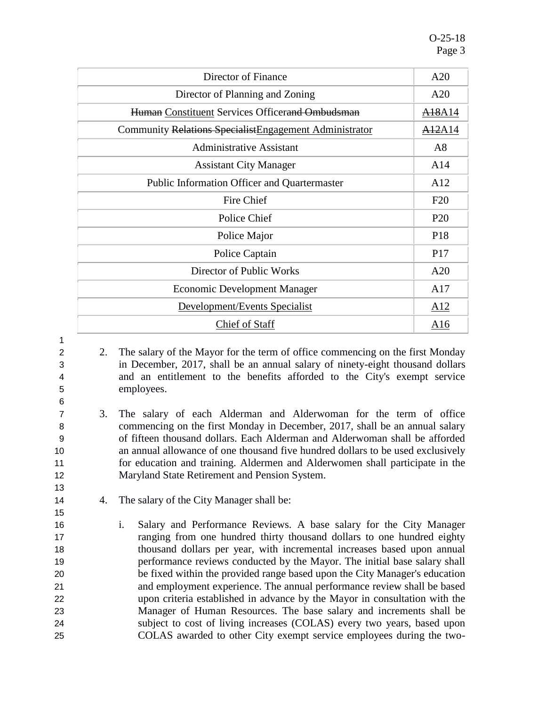| Director of Finance                                     | A20                |
|---------------------------------------------------------|--------------------|
| Director of Planning and Zoning                         | A20                |
| Human Constituent Services Officerand Ombudsman         | <del>A18</del> A14 |
| Community Relations Specialist Engagement Administrator | <del>A12</del> A14 |
| <b>Administrative Assistant</b>                         | A8                 |
| <b>Assistant City Manager</b>                           | A14                |
| Public Information Officer and Quartermaster            | A <sub>12</sub>    |
| Fire Chief                                              | F20                |
| Police Chief                                            | P <sub>20</sub>    |
| Police Major                                            | P <sub>18</sub>    |
| Police Captain                                          | P <sub>17</sub>    |
| Director of Public Works                                | A20                |
| <b>Economic Development Manager</b>                     | A17                |
| Development/Events Specialist                           | A12                |
| Chief of Staff                                          | A16                |

1 6

13

15

 2. The salary of the Mayor for the term of office commencing on the first Monday in December, 2017, shall be an annual salary of ninety-eight thousand dollars and an entitlement to the benefits afforded to the City's exempt service employees.

- 7 3. The salary of each Alderman and Alderwoman for the term of office 8 commencing on the first Monday in December, 2017, shall be an annual salary 9 of fifteen thousand dollars. Each Alderman and Alderwoman shall be afforded 10 an annual allowance of one thousand five hundred dollars to be used exclusively 11 for education and training. Aldermen and Alderwomen shall participate in the 12 Maryland State Retirement and Pension System.
- 14 4. The salary of the City Manager shall be:
- 16 i. Salary and Performance Reviews. A base salary for the City Manager 17 ranging from one hundred thirty thousand dollars to one hundred eighty 18 thousand dollars per year, with incremental increases based upon annual 19 performance reviews conducted by the Mayor. The initial base salary shall 20 be fixed within the provided range based upon the City Manager's education 21 and employment experience. The annual performance review shall be based 22 upon criteria established in advance by the Mayor in consultation with the 23 Manager of Human Resources. The base salary and increments shall be 24 subject to cost of living increases (COLAS) every two years, based upon 25 COLAS awarded to other City exempt service employees during the two-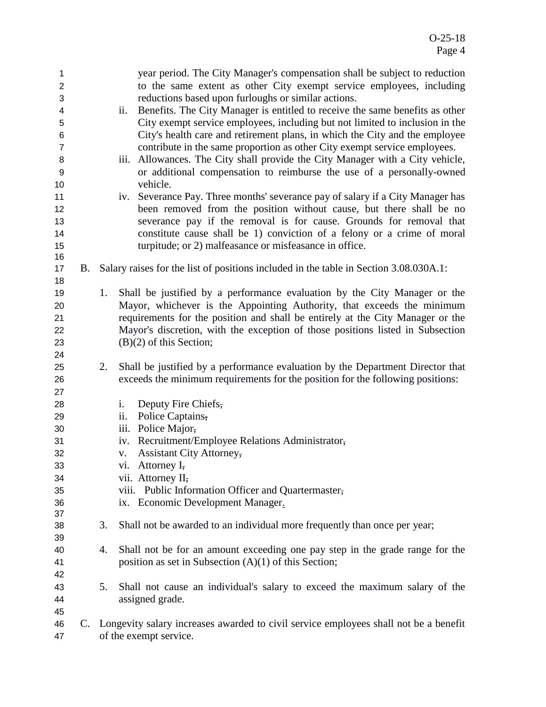| 1<br>$\overline{2}$<br>3<br>4<br>5<br>6<br>$\overline{7}$<br>8<br>9<br>10<br>11<br>12<br>13<br>14<br>15 |    |    | year period. The City Manager's compensation shall be subject to reduction<br>to the same extent as other City exempt service employees, including<br>reductions based upon furloughs or similar actions.<br>Benefits. The City Manager is entitled to receive the same benefits as other<br>ii.<br>City exempt service employees, including but not limited to inclusion in the<br>City's health care and retirement plans, in which the City and the employee<br>contribute in the same proportion as other City exempt service employees.<br>iii. Allowances. The City shall provide the City Manager with a City vehicle,<br>or additional compensation to reimburse the use of a personally-owned<br>vehicle.<br>iv. Severance Pay. Three months' severance pay of salary if a City Manager has<br>been removed from the position without cause, but there shall be no<br>severance pay if the removal is for cause. Grounds for removal that<br>constitute cause shall be 1) conviction of a felony or a crime of moral<br>turpitude; or 2) malfeasance or misfeasance in office. |
|---------------------------------------------------------------------------------------------------------|----|----|-----------------------------------------------------------------------------------------------------------------------------------------------------------------------------------------------------------------------------------------------------------------------------------------------------------------------------------------------------------------------------------------------------------------------------------------------------------------------------------------------------------------------------------------------------------------------------------------------------------------------------------------------------------------------------------------------------------------------------------------------------------------------------------------------------------------------------------------------------------------------------------------------------------------------------------------------------------------------------------------------------------------------------------------------------------------------------------------|
| 16<br>17                                                                                                | B. |    | Salary raises for the list of positions included in the table in Section 3.08.030A.1:                                                                                                                                                                                                                                                                                                                                                                                                                                                                                                                                                                                                                                                                                                                                                                                                                                                                                                                                                                                                   |
| 18<br>19<br>20<br>21<br>22<br>23<br>24                                                                  |    | 1. | Shall be justified by a performance evaluation by the City Manager or the<br>Mayor, whichever is the Appointing Authority, that exceeds the minimum<br>requirements for the position and shall be entirely at the City Manager or the<br>Mayor's discretion, with the exception of those positions listed in Subsection<br>$(B)(2)$ of this Section;                                                                                                                                                                                                                                                                                                                                                                                                                                                                                                                                                                                                                                                                                                                                    |
| 25<br>26                                                                                                |    | 2. | Shall be justified by a performance evaluation by the Department Director that<br>exceeds the minimum requirements for the position for the following positions:                                                                                                                                                                                                                                                                                                                                                                                                                                                                                                                                                                                                                                                                                                                                                                                                                                                                                                                        |
| 27<br>28<br>29<br>30<br>31<br>32<br>33<br>34<br>35<br>36<br>37                                          |    |    | Deputy Fire Chiefs,<br>i.<br>Police Captains,<br>ii.<br>iii. Police Major,<br>iv. Recruitment/Employee Relations Administrator,<br><b>Assistant City Attorney,</b><br>$\mathbf{V}$ .<br>vi. Attorney I,<br>vii. Attorney II,<br>viii. Public Information Officer and Quartermaster,<br>ix. Economic Development Manager.                                                                                                                                                                                                                                                                                                                                                                                                                                                                                                                                                                                                                                                                                                                                                                |
| 38<br>39                                                                                                |    | 3. | Shall not be awarded to an individual more frequently than once per year;                                                                                                                                                                                                                                                                                                                                                                                                                                                                                                                                                                                                                                                                                                                                                                                                                                                                                                                                                                                                               |
| 40<br>41<br>42                                                                                          |    | 4. | Shall not be for an amount exceeding one pay step in the grade range for the<br>position as set in Subsection $(A)(1)$ of this Section;                                                                                                                                                                                                                                                                                                                                                                                                                                                                                                                                                                                                                                                                                                                                                                                                                                                                                                                                                 |
| 43<br>44<br>45                                                                                          |    | 5. | Shall not cause an individual's salary to exceed the maximum salary of the<br>assigned grade.                                                                                                                                                                                                                                                                                                                                                                                                                                                                                                                                                                                                                                                                                                                                                                                                                                                                                                                                                                                           |
| 46<br>47                                                                                                | C. |    | Longevity salary increases awarded to civil service employees shall not be a benefit<br>of the exempt service.                                                                                                                                                                                                                                                                                                                                                                                                                                                                                                                                                                                                                                                                                                                                                                                                                                                                                                                                                                          |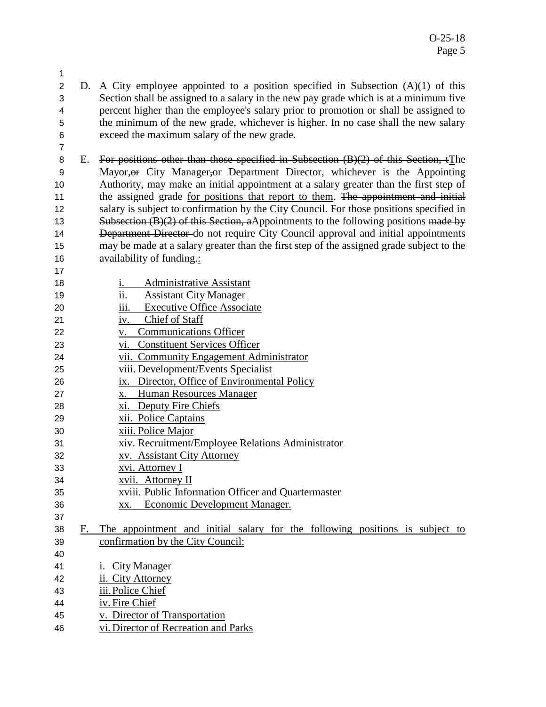- D. A City employee appointed to a position specified in Subsection (A)(1) of this Section shall be assigned to a salary in the new pay grade which is at a minimum five percent higher than the employee's salary prior to promotion or shall be assigned to the minimum of the new grade, whichever is higher. In no case shall the new salary exceed the maximum salary of the new grade.
- E. For positions other than those specified in Subsection (B)(2) of this Section, tThe Mayor,or City Manager,or Department Director, whichever is the Appointing Authority, may make an initial appointment at a salary greater than the first step of 11 the assigned grade for positions that report to them. The appointment and initial 12 salary is subject to confirmation by the City Council. For those positions specified in 13 Subsection  $(B)(2)$  of this Section, aAppointments to the following positions made by 14 Department Director do not require City Council approval and initial appointments may be made at a salary greater than the first step of the assigned grade subject to the availability of funding.:
- 

- i. Administrative Assistant
- ii. Assistant City Manager
- iii. Executive Office Associate
- 21 iv. Chief of Staff
- v. Communications Officer
- vi. Constituent Services Officer
- vii. Community Engagement Administrator
- viii. Development/Events Specialist
- ix. Director, Office of Environmental Policy
- x. Human Resources Manager
- xi. Deputy Fire Chiefs
- xii. Police Captains
- xiii. Police Major
- xiv. Recruitment/Employee Relations Administrator
- xv. Assistant City Attorney
- xvi. Attorney I
- xvii. Attorney II
- xviii. Public Information Officer and Quartermaster
- xx. Economic Development Manager.
- 
- F. The appointment and initial salary for the following positions is subject to confirmation by the City Council:
- i. City Manager
- ii. City Attorney
- iii.Police Chief
- iv. Fire Chief
- v. Director of Transportation
- vi. Director of Recreation and Parks